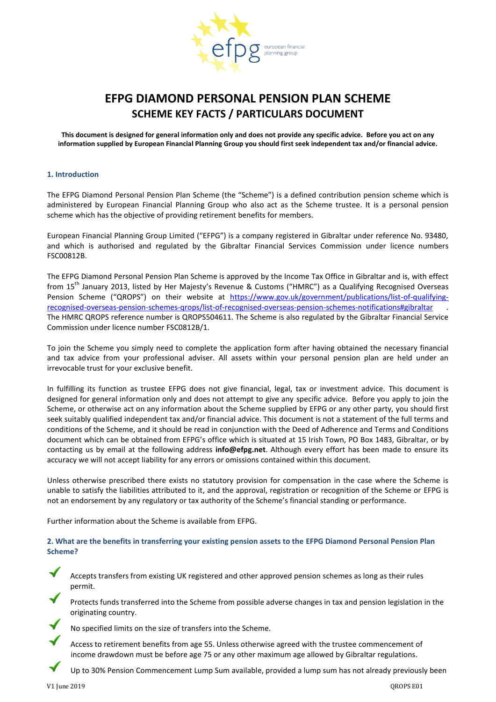

# **EFPG DIAMOND PERSONAL PENSION PLAN SCHEME SCHEME KEY FACTS / PARTICULARS DOCUMENT**

**This document is designed for general information only and does not provide any specific advice. Before you act on any information supplied by European Financial Planning Group you should first seek independent tax and/or financial advice.**

## **1. Introduction**

The EFPG Diamond Personal Pension Plan Scheme (the "Scheme") is a defined contribution pension scheme which is administered by European Financial Planning Group who also act as the Scheme trustee. It is a personal pension scheme which has the objective of providing retirement benefits for members.

European Financial Planning Group Limited ("EFPG") is a company registered in Gibraltar under reference No. 93480, and which is authorised and regulated by the Gibraltar Financial Services Commission under licence numbers FSC00812B.

The EFPG Diamond Personal Pension Plan Scheme is approved by the Income Tax Office in Gibraltar and is, with effect from 15<sup>th</sup> January 2013, listed by Her Majesty's Revenue & Customs ("HMRC") as a Qualifying Recognised Overseas Pension Scheme ("QROPS") on their website at [https://www.gov.uk/government/publications/list-of-qualifying](https://www.gov.uk/government/publications/list-of-qualifying-recognised-overseas-pension-schemes-qrops/list-of-recognised-overseas-pension-schemes-notifications#gibraltar)[recognised-overseas-pension-schemes-qrops/list-of-recognised-overseas-pension-schemes-notifications#gibraltar](https://www.gov.uk/government/publications/list-of-qualifying-recognised-overseas-pension-schemes-qrops/list-of-recognised-overseas-pension-schemes-notifications#gibraltar) . The HMRC QROPS reference number is QROPS504611. The Scheme is also regulated by the Gibraltar Financial Service Commission under licence number FSC0812B/1.

To join the Scheme you simply need to complete the application form after having obtained the necessary financial and tax advice from your professional adviser. All assets within your personal pension plan are held under an irrevocable trust for your exclusive benefit.

In fulfilling its function as trustee EFPG does not give financial, legal, tax or investment advice. This document is designed for general information only and does not attempt to give any specific advice. Before you apply to join the Scheme, or otherwise act on any information about the Scheme supplied by EFPG or any other party, you should first seek suitably qualified independent tax and/or financial advice. This document is not a statement of the full terms and conditions of the Scheme, and it should be read in conjunction with the Deed of Adherence and Terms and Conditions document which can be obtained from EFPG's office which is situated at 15 Irish Town, PO Box 1483, Gibraltar, or by contacting us by email at the following address **info@efpg.net**. Although every effort has been made to ensure its accuracy we will not accept liability for any errors or omissions contained within this document.

Unless otherwise prescribed there exists no statutory provision for compensation in the case where the Scheme is unable to satisfy the liabilities attributed to it, and the approval, registration or recognition of the Scheme or EFPG is not an endorsement by any regulatory or tax authority of the Scheme's financial standing or performance.

Further information about the Scheme is available from EFPG.

# **2. What are the benefits in transferring your existing pension assets to the EFPG Diamond Personal Pension Plan Scheme?**

Accepts transfers from existing UK registered and other approved pension schemes as long as their rules permit.

Protects funds transferred into the Scheme from possible adverse changes in tax and pension legislation in the originating country.



No specified limits on the size of transfers into the Scheme.

Access to retirement benefits from age 55. Unless otherwise agreed with the trustee commencement of income drawdown must be before age 75 or any other maximum age allowed by Gibraltar regulations.

Up to 30% Pension Commencement Lump Sum available, provided a lump sum has not already previously been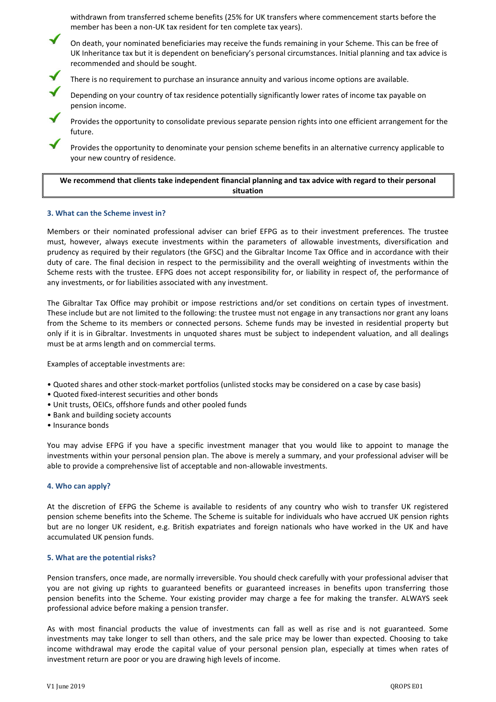withdrawn from transferred scheme benefits (25% for UK transfers where commencement starts before the member has been a non-UK tax resident for ten complete tax years).

On death, your nominated beneficiaries may receive the funds remaining in your Scheme. This can be free of UK Inheritance tax but it is dependent on beneficiary's personal circumstances. Initial planning and tax advice is recommended and should be sought.



There is no requirement to purchase an insurance annuity and various income options are available.

Depending on your country of tax residence potentially significantly lower rates of income tax payable on pension income.

Provides the opportunity to consolidate previous separate pension rights into one efficient arrangement for the future.

Provides the opportunity to denominate your pension scheme benefits in an alternative currency applicable to your new country of residence.

# **We recommend that clients take independent financial planning and tax advice with regard to their personal situation**

## **3. What can the Scheme invest in?**

Members or their nominated professional adviser can brief EFPG as to their investment preferences. The trustee must, however, always execute investments within the parameters of allowable investments, diversification and prudency as required by their regulators (the GFSC) and the Gibraltar Income Tax Office and in accordance with their duty of care. The final decision in respect to the permissibility and the overall weighting of investments within the Scheme rests with the trustee. EFPG does not accept responsibility for, or liability in respect of, the performance of any investments, or for liabilities associated with any investment.

The Gibraltar Tax Office may prohibit or impose restrictions and/or set conditions on certain types of investment. These include but are not limited to the following: the trustee must not engage in any transactions nor grant any loans from the Scheme to its members or connected persons. Scheme funds may be invested in residential property but only if it is in Gibraltar. Investments in unquoted shares must be subject to independent valuation, and all dealings must be at arms length and on commercial terms.

Examples of acceptable investments are:

- Quoted shares and other stock-market portfolios (unlisted stocks may be considered on a case by case basis)
- Quoted fixed-interest securities and other bonds
- Unit trusts, OEICs, offshore funds and other pooled funds
- Bank and building society accounts
- Insurance bonds

You may advise EFPG if you have a specific investment manager that you would like to appoint to manage the investments within your personal pension plan. The above is merely a summary, and your professional adviser will be able to provide a comprehensive list of acceptable and non-allowable investments.

#### **4. Who can apply?**

At the discretion of EFPG the Scheme is available to residents of any country who wish to transfer UK registered pension scheme benefits into the Scheme. The Scheme is suitable for individuals who have accrued UK pension rights but are no longer UK resident, e.g. British expatriates and foreign nationals who have worked in the UK and have accumulated UK pension funds.

#### **5. What are the potential risks?**

Pension transfers, once made, are normally irreversible. You should check carefully with your professional adviser that you are not giving up rights to guaranteed benefits or guaranteed increases in benefits upon transferring those pension benefits into the Scheme. Your existing provider may charge a fee for making the transfer. ALWAYS seek professional advice before making a pension transfer.

As with most financial products the value of investments can fall as well as rise and is not guaranteed. Some investments may take longer to sell than others, and the sale price may be lower than expected. Choosing to take income withdrawal may erode the capital value of your personal pension plan, especially at times when rates of investment return are poor or you are drawing high levels of income.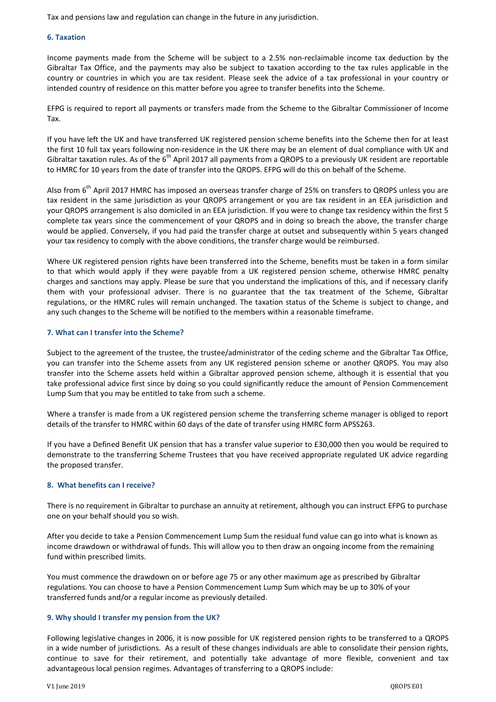Tax and pensions law and regulation can change in the future in any jurisdiction.

#### **6. Taxation**

Income payments made from the Scheme will be subject to a 2.5% non-reclaimable income tax deduction by the Gibraltar Tax Office, and the payments may also be subject to taxation according to the tax rules applicable in the country or countries in which you are tax resident. Please seek the advice of a tax professional in your country or intended country of residence on this matter before you agree to transfer benefits into the Scheme.

EFPG is required to report all payments or transfers made from the Scheme to the Gibraltar Commissioner of Income Tax.

If you have left the UK and have transferred UK registered pension scheme benefits into the Scheme then for at least the first 10 full tax years following non-residence in the UK there may be an element of dual compliance with UK and Gibraltar taxation rules. As of the 6<sup>th</sup> April 2017 all payments from a QROPS to a previously UK resident are reportable to HMRC for 10 years from the date of transfer into the QROPS. EFPG will do this on behalf of the Scheme.

Also from  $6^{th}$  April 2017 HMRC has imposed an overseas transfer charge of 25% on transfers to QROPS unless you are tax resident in the same jurisdiction as your QROPS arrangement or you are tax resident in an EEA jurisdiction and your QROPS arrangement is also domiciled in an EEA jurisdiction. If you were to change tax residency within the first 5 complete tax years since the commencement of your QROPS and in doing so breach the above, the transfer charge would be applied. Conversely, if you had paid the transfer charge at outset and subsequently within 5 years changed your tax residency to comply with the above conditions, the transfer charge would be reimbursed.

Where UK registered pension rights have been transferred into the Scheme, benefits must be taken in a form similar to that which would apply if they were payable from a UK registered pension scheme, otherwise HMRC penalty charges and sanctions may apply. Please be sure that you understand the implications of this, and if necessary clarify them with your professional adviser. There is no guarantee that the tax treatment of the Scheme, Gibraltar regulations, or the HMRC rules will remain unchanged. The taxation status of the Scheme is subject to change, and any such changes to the Scheme will be notified to the members within a reasonable timeframe.

## **7. What can I transfer into the Scheme?**

Subject to the agreement of the trustee, the trustee/administrator of the ceding scheme and the Gibraltar Tax Office, you can transfer into the Scheme assets from any UK registered pension scheme or another QROPS. You may also transfer into the Scheme assets held within a Gibraltar approved pension scheme, although it is essential that you take professional advice first since by doing so you could significantly reduce the amount of Pension Commencement Lump Sum that you may be entitled to take from such a scheme.

Where a transfer is made from a UK registered pension scheme the transferring scheme manager is obliged to report details of the transfer to HMRC within 60 days of the date of transfer using HMRC form APSS263.

If you have a Defined Benefit UK pension that has a transfer value superior to £30,000 then you would be required to demonstrate to the transferring Scheme Trustees that you have received appropriate regulated UK advice regarding the proposed transfer.

#### **8. What benefits can I receive?**

There is no requirement in Gibraltar to purchase an annuity at retirement, although you can instruct EFPG to purchase one on your behalf should you so wish.

After you decide to take a Pension Commencement Lump Sum the residual fund value can go into what is known as income drawdown or withdrawal of funds. This will allow you to then draw an ongoing income from the remaining fund within prescribed limits.

You must commence the drawdown on or before age 75 or any other maximum age as prescribed by Gibraltar regulations. You can choose to have a Pension Commencement Lump Sum which may be up to 30% of your transferred funds and/or a regular income as previously detailed.

#### **9. Why should I transfer my pension from the UK?**

Following legislative changes in 2006, it is now possible for UK registered pension rights to be transferred to a QROPS in a wide number of jurisdictions. As a result of these changes individuals are able to consolidate their pension rights, continue to save for their retirement, and potentially take advantage of more flexible, convenient and tax advantageous local pension regimes. Advantages of transferring to a QROPS include: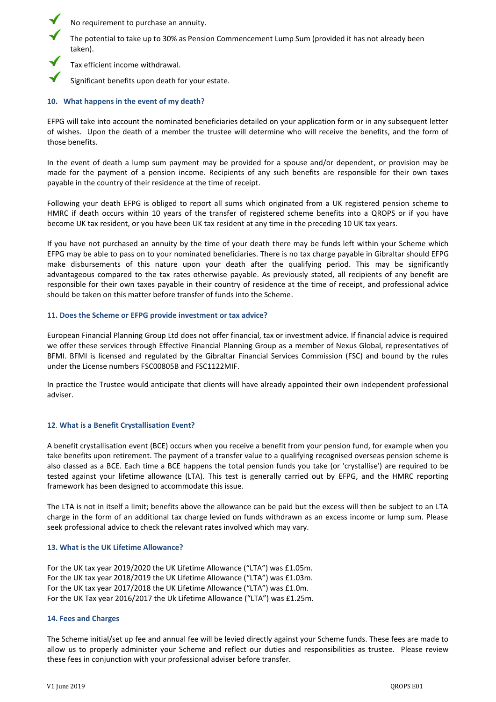No requirement to purchase an annuity.

The potential to take up to 30% as Pension Commencement Lump Sum (provided it has not already been taken).

Tax efficient income withdrawal.

Significant benefits upon death for your estate.

# **10. What happens in the event of my death?**

EFPG will take into account the nominated beneficiaries detailed on your application form or in any subsequent letter of wishes. Upon the death of a member the trustee will determine who will receive the benefits, and the form of those benefits.

In the event of death a lump sum payment may be provided for a spouse and/or dependent, or provision may be made for the payment of a pension income. Recipients of any such benefits are responsible for their own taxes payable in the country of their residence at the time of receipt.

Following your death EFPG is obliged to report all sums which originated from a UK registered pension scheme to HMRC if death occurs within 10 years of the transfer of registered scheme benefits into a QROPS or if you have become UK tax resident, or you have been UK tax resident at any time in the preceding 10 UK tax years.

If you have not purchased an annuity by the time of your death there may be funds left within your Scheme which EFPG may be able to pass on to your nominated beneficiaries. There is no tax charge payable in Gibraltar should EFPG make disbursements of this nature upon your death after the qualifying period. This may be significantly advantageous compared to the tax rates otherwise payable. As previously stated, all recipients of any benefit are responsible for their own taxes payable in their country of residence at the time of receipt, and professional advice should be taken on this matter before transfer of funds into the Scheme.

# **11. Does the Scheme or EFPG provide investment or tax advice?**

European Financial Planning Group Ltd does not offer financial, tax or investment advice. If financial advice is required we offer these services through Effective Financial Planning Group as a member of Nexus Global, representatives of BFMI. BFMI is licensed and regulated by the Gibraltar Financial Services Commission (FSC) and bound by the rules under the License numbers FSC00805B and FSC1122MIF.

In practice the Trustee would anticipate that clients will have already appointed their own independent professional adviser.

# **12**. **What is a Benefit Crystallisation Event?**

A benefit crystallisation event (BCE) occurs when you receive a benefit from your pension fund, for example when you take benefits upon retirement. The payment of a transfer value to a qualifying recognised overseas pension scheme is also classed as a BCE. Each time a BCE happens the total pension funds you take (or 'crystallise') are required to be tested against your lifetime allowance (LTA). This test is generally carried out by EFPG, and the HMRC reporting framework has been designed to accommodate this issue.

The LTA is not in itself a limit; benefits above the allowance can be paid but the excess will then be subject to an LTA charge in the form of an additional tax charge levied on funds withdrawn as an excess income or lump sum. Please seek professional advice to check the relevant rates involved which may vary.

# **13. What is the UK Lifetime Allowance?**

For the UK tax year 2019/2020 the UK Lifetime Allowance ("LTA") was £1.05m. For the UK tax year 2018/2019 the UK Lifetime Allowance ("LTA") was £1.03m. For the UK tax year 2017/2018 the UK Lifetime Allowance ("LTA") was £1.0m. For the UK Tax year 2016/2017 the Uk Lifetime Allowance ("LTA") was £1.25m.

# **14. Fees and Charges**

The Scheme initial/set up fee and annual fee will be levied directly against your Scheme funds. These fees are made to allow us to properly administer your Scheme and reflect our duties and responsibilities as trustee. Please review these fees in conjunction with your professional adviser before transfer.